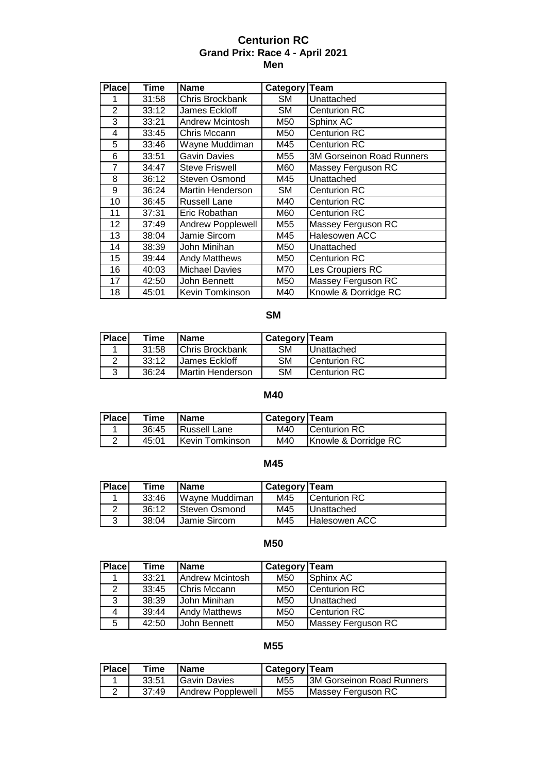### **Centurion RC Grand Prix: Race 4 - April 2021 Men**

| <b>Place</b>   | <b>Time</b> | <b>Name</b>              | Category  | Team                             |
|----------------|-------------|--------------------------|-----------|----------------------------------|
| 1              | 31:58       | Chris Brockbank          | SМ        | Unattached                       |
| $\overline{2}$ | 33:12       | James Eckloff            | SM        | <b>Centurion RC</b>              |
| 3              | 33:21       | Andrew Mcintosh          | M50       | Sphinx AC                        |
| 4              | 33:45       | Chris Mccann             | M50       | <b>Centurion RC</b>              |
| 5              | 33:46       | Wayne Muddiman           | M45       | <b>Centurion RC</b>              |
| 6              | 33:51       | <b>Gavin Davies</b>      | M55       | <b>3M Gorseinon Road Runners</b> |
| 7              | 34:47       | <b>Steve Friswell</b>    | M60       | Massey Ferguson RC               |
| 8              | 36:12       | <b>Steven Osmond</b>     | M45       | Unattached                       |
| 9              | 36:24       | <b>Martin Henderson</b>  | <b>SM</b> | <b>Centurion RC</b>              |
| 10             | 36:45       | <b>Russell Lane</b>      | M40       | <b>Centurion RC</b>              |
| 11             | 37:31       | Eric Robathan            | M60       | <b>Centurion RC</b>              |
| 12             | 37:49       | <b>Andrew Popplewell</b> | M55       | Massey Ferguson RC               |
| 13             | 38:04       | Jamie Sircom             | M45       | Halesowen ACC                    |
| 14             | 38:39       | John Minihan             | M50       | Unattached                       |
| 15             | 39:44       | <b>Andy Matthews</b>     | M50       | <b>Centurion RC</b>              |
| 16             | 40:03       | Michael Davies           | M70       | Les Croupiers RC                 |
| 17             | 42:50       | John Bennett             | M50       | <b>Massey Ferguson RC</b>        |
| 18             | 45:01       | Kevin Tomkinson          | M40       | Knowle & Dorridge RC             |

## **SM**

| <b>Place</b> | Time  | <b>Name</b>           | Category Team |                      |
|--------------|-------|-----------------------|---------------|----------------------|
|              | 31:58 | Chris Brockbank       | SΜ            | <b>Unattached</b>    |
| ⌒            | 33:12 | <b>IJames Eckloff</b> | <b>SM</b>     | <b>ICenturion RC</b> |
| 3            | 36:24 | Martin Henderson      | SM            | Centurion RC         |

### **M40**

| <b>Place</b> | Time  | <b>Name</b>             | <b>Category Team</b> |                      |
|--------------|-------|-------------------------|----------------------|----------------------|
|              | 36:45 | Russell Lane            | M40                  | <b>ICenturion RC</b> |
|              | 45:01 | <b>IKevin Tomkinson</b> | M40                  | Knowle & Dorridge RC |

### **M45**

| <b>Place</b> | Time  | <b>Name</b>           | Category Team |                      |
|--------------|-------|-----------------------|---------------|----------------------|
|              | 33:46 | Wayne Muddiman        | M45           | Centurion RC         |
|              | 36:12 | <b>ISteven Osmond</b> | M45           | Unattached           |
|              | 38:04 | Jamie Sircom          | M45           | <b>Halesowen ACC</b> |

## **M50**

| <b>Place</b> | Time  | <b>IName</b>         | Category Team |                    |
|--------------|-------|----------------------|---------------|--------------------|
|              | 33:21 | Andrew Mcintosh      | M50           | Sphinx AC          |
| 2            | 33:45 | Chris Mccann         | M50           | Centurion RC       |
| 3            | 38:39 | John Minihan         | M50           | Unattached         |
| 4            | 39:44 | <b>Andy Matthews</b> | M50           | Centurion RC       |
| 5            | 42:50 | John Bennett         | M50           | Massey Ferguson RC |

#### **M55**

| <b>Place</b> | Time  | <b>IName</b>          | Category   Team |                           |
|--------------|-------|-----------------------|-----------------|---------------------------|
|              | 33:51 | <b>I</b> Gavin Davies | M55             | 3M Gorseinon Road Runners |
|              | 37:49 | Andrew Popplewell     | M55             | Massey Ferguson RC        |